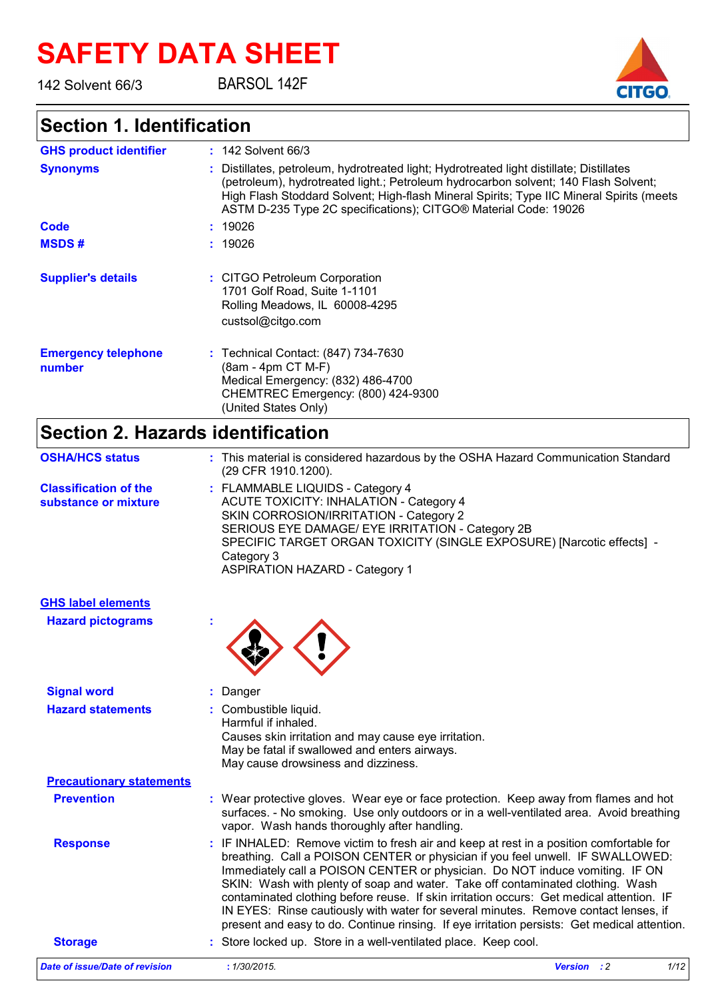# **SAFETY DATA SHEET**

142 Solvent 66/3

## BARSOL 142F

## **Section 1. Identification**

| <b>GHS product identifier</b>        | $: 142$ Solvent 66/3                                                                                                                                                                                                                                                                                                                           |
|--------------------------------------|------------------------------------------------------------------------------------------------------------------------------------------------------------------------------------------------------------------------------------------------------------------------------------------------------------------------------------------------|
| <b>Synonyms</b>                      | : Distillates, petroleum, hydrotreated light; Hydrotreated light distillate; Distillates<br>(petroleum), hydrotreated light.; Petroleum hydrocarbon solvent; 140 Flash Solvent;<br>High Flash Stoddard Solvent; High-flash Mineral Spirits; Type IIC Mineral Spirits (meets<br>ASTM D-235 Type 2C specifications); CITGO® Material Code: 19026 |
| Code                                 | : 19026                                                                                                                                                                                                                                                                                                                                        |
| <b>MSDS#</b>                         | : 19026                                                                                                                                                                                                                                                                                                                                        |
| <b>Supplier's details</b>            | : CITGO Petroleum Corporation<br>1701 Golf Road, Suite 1-1101<br>Rolling Meadows, IL 60008-4295<br>custsol@citgo.com                                                                                                                                                                                                                           |
| <b>Emergency telephone</b><br>number | : Technical Contact: (847) 734-7630<br>(8am - 4pm CT M-F)<br>Medical Emergency: (832) 486-4700<br>CHEMTREC Emergency: (800) 424-9300<br>(United States Only)                                                                                                                                                                                   |

# **Section 2. Hazards identification**

| <b>OSHA/HCS status</b>                               | : This material is considered hazardous by the OSHA Hazard Communication Standard<br>(29 CFR 1910.1200).                                                                                                                                                                                                                                                                                                                                                                                                                                                                                                                     |
|------------------------------------------------------|------------------------------------------------------------------------------------------------------------------------------------------------------------------------------------------------------------------------------------------------------------------------------------------------------------------------------------------------------------------------------------------------------------------------------------------------------------------------------------------------------------------------------------------------------------------------------------------------------------------------------|
| <b>Classification of the</b><br>substance or mixture | : FLAMMABLE LIQUIDS - Category 4<br><b>ACUTE TOXICITY: INHALATION - Category 4</b><br>SKIN CORROSION/IRRITATION - Category 2<br>SERIOUS EYE DAMAGE/ EYE IRRITATION - Category 2B<br>SPECIFIC TARGET ORGAN TOXICITY (SINGLE EXPOSURE) [Narcotic effects] -<br>Category 3<br><b>ASPIRATION HAZARD - Category 1</b>                                                                                                                                                                                                                                                                                                             |
| <b>GHS label elements</b>                            |                                                                                                                                                                                                                                                                                                                                                                                                                                                                                                                                                                                                                              |
| <b>Hazard pictograms</b>                             |                                                                                                                                                                                                                                                                                                                                                                                                                                                                                                                                                                                                                              |
| <b>Signal word</b>                                   | Danger                                                                                                                                                                                                                                                                                                                                                                                                                                                                                                                                                                                                                       |
| <b>Hazard statements</b>                             | : Combustible liquid.<br>Harmful if inhaled.<br>Causes skin irritation and may cause eye irritation.<br>May be fatal if swallowed and enters airways.<br>May cause drowsiness and dizziness.                                                                                                                                                                                                                                                                                                                                                                                                                                 |
| <b>Precautionary statements</b>                      |                                                                                                                                                                                                                                                                                                                                                                                                                                                                                                                                                                                                                              |
| <b>Prevention</b>                                    | : Wear protective gloves. Wear eye or face protection. Keep away from flames and hot<br>surfaces. - No smoking. Use only outdoors or in a well-ventilated area. Avoid breathing<br>vapor. Wash hands thoroughly after handling.                                                                                                                                                                                                                                                                                                                                                                                              |
| <b>Response</b>                                      | IF INHALED: Remove victim to fresh air and keep at rest in a position comfortable for<br>breathing. Call a POISON CENTER or physician if you feel unwell. IF SWALLOWED:<br>Immediately call a POISON CENTER or physician. Do NOT induce vomiting. IF ON<br>SKIN: Wash with plenty of soap and water. Take off contaminated clothing. Wash<br>contaminated clothing before reuse. If skin irritation occurs: Get medical attention. IF<br>IN EYES: Rinse cautiously with water for several minutes. Remove contact lenses, if<br>present and easy to do. Continue rinsing. If eye irritation persists: Get medical attention. |

## **Storage :** Store locked up. Store in a well-ventilated place. Keep cool. *Date of issue/Date of revision* **:** *1/30/2015. Version : 2 1/12*

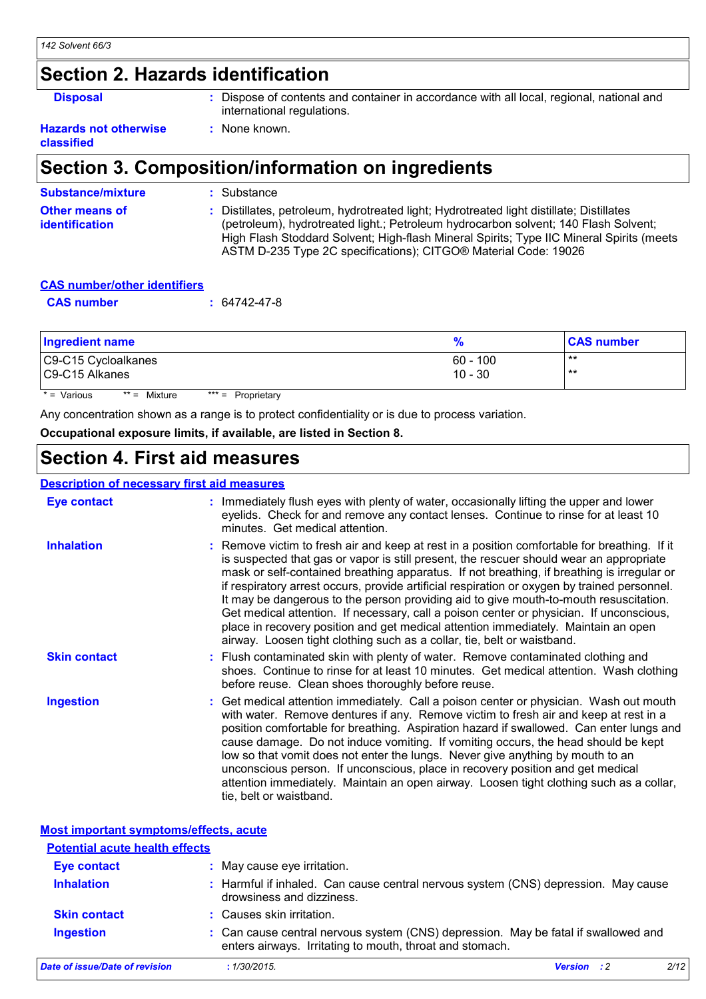## **Section 2. Hazards identification**

**al Example 3 Example 3 :** Dispose of contents and container in accordance with all local, regional, national and international regulations.

#### **Hazards not otherwise classified**

# **Section 3. Composition/information on ingredients**

**:** None known.

| <b>Substance/mixture</b>                | : Substance                                                                                                                                                                                                                                                                                                                                    |
|-----------------------------------------|------------------------------------------------------------------------------------------------------------------------------------------------------------------------------------------------------------------------------------------------------------------------------------------------------------------------------------------------|
| Other means of<br><i>identification</i> | : Distillates, petroleum, hydrotreated light; Hydrotreated light distillate; Distillates<br>(petroleum), hydrotreated light.; Petroleum hydrocarbon solvent; 140 Flash Solvent;<br>High Flash Stoddard Solvent; High-flash Mineral Spirits; Type IIC Mineral Spirits (meets<br>ASTM D-235 Type 2C specifications); CITGO® Material Code: 19026 |

## **CAS number/other identifiers**

| <b>CAS number</b> | $: 64742 - 47 - 8$ |
|-------------------|--------------------|
|-------------------|--------------------|

| <b>Ingredient name</b>                               | %                       | <b>CAS number</b> |
|------------------------------------------------------|-------------------------|-------------------|
| C9-C15 Cycloalkanes<br>C9-C15 Alkanes                | $60 - 100$<br>$10 - 30$ | $***$<br>$***$    |
| * = Various<br>$** =$ Mixture<br>$*** =$ Proprietary |                         |                   |

Any concentration shown as a range is to protect confidentiality or is due to process variation.

**Occupational exposure limits, if available, are listed in Section 8.**

# **Section 4. First aid measures**

### **Description of necessary first aid measures**

| <b>Eye contact</b>  | : Immediately flush eyes with plenty of water, occasionally lifting the upper and lower<br>eyelids. Check for and remove any contact lenses. Continue to rinse for at least 10<br>minutes. Get medical attention.                                                                                                                                                                                                                                                                                                                                                                                                                                                                                                                          |
|---------------------|--------------------------------------------------------------------------------------------------------------------------------------------------------------------------------------------------------------------------------------------------------------------------------------------------------------------------------------------------------------------------------------------------------------------------------------------------------------------------------------------------------------------------------------------------------------------------------------------------------------------------------------------------------------------------------------------------------------------------------------------|
| <b>Inhalation</b>   | : Remove victim to fresh air and keep at rest in a position comfortable for breathing. If it<br>is suspected that gas or vapor is still present, the rescuer should wear an appropriate<br>mask or self-contained breathing apparatus. If not breathing, if breathing is irregular or<br>if respiratory arrest occurs, provide artificial respiration or oxygen by trained personnel.<br>It may be dangerous to the person providing aid to give mouth-to-mouth resuscitation.<br>Get medical attention. If necessary, call a poison center or physician. If unconscious,<br>place in recovery position and get medical attention immediately. Maintain an open<br>airway. Loosen tight clothing such as a collar, tie, belt or waistband. |
| <b>Skin contact</b> | : Flush contaminated skin with plenty of water. Remove contaminated clothing and<br>shoes. Continue to rinse for at least 10 minutes. Get medical attention. Wash clothing<br>before reuse. Clean shoes thoroughly before reuse.                                                                                                                                                                                                                                                                                                                                                                                                                                                                                                           |
| <b>Ingestion</b>    | : Get medical attention immediately. Call a poison center or physician. Wash out mouth<br>with water. Remove dentures if any. Remove victim to fresh air and keep at rest in a<br>position comfortable for breathing. Aspiration hazard if swallowed. Can enter lungs and<br>cause damage. Do not induce vomiting. If vomiting occurs, the head should be kept<br>low so that vomit does not enter the lungs. Never give anything by mouth to an<br>unconscious person. If unconscious, place in recovery position and get medical<br>attention immediately. Maintain an open airway. Loosen tight clothing such as a collar,<br>tie, belt or waistband.                                                                                   |

#### **Most important symptoms/effects, acute**

| <b>Potential acute health effects</b> |                                                                                                                                                |                    |      |
|---------------------------------------|------------------------------------------------------------------------------------------------------------------------------------------------|--------------------|------|
| <b>Eye contact</b>                    | May cause eye irritation.                                                                                                                      |                    |      |
| <b>Inhalation</b>                     | : Harmful if inhaled. Can cause central nervous system (CNS) depression. May cause<br>drowsiness and dizziness.                                |                    |      |
| <b>Skin contact</b>                   | : Causes skin irritation.                                                                                                                      |                    |      |
| <b>Ingestion</b>                      | : Can cause central nervous system (CNS) depression. May be fatal if swallowed and<br>enters airways. Irritating to mouth, throat and stomach. |                    |      |
| Date of issue/Date of revision        | : 1/30/2015.                                                                                                                                   | <b>Version</b> : 2 | 2/12 |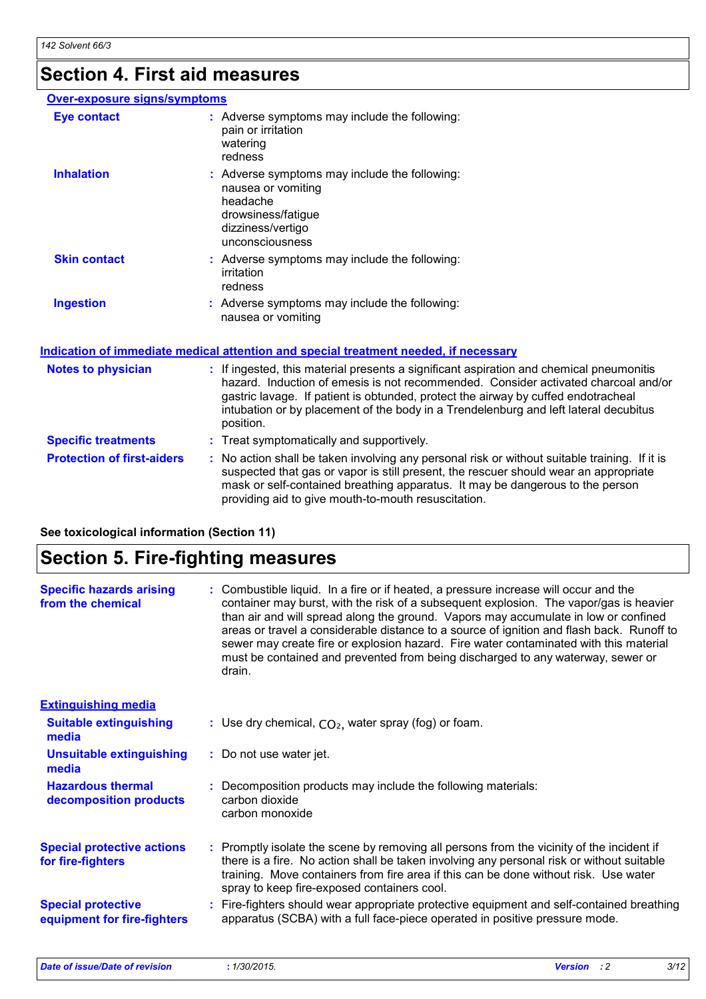## **Section 4. First aid measures**

#### **Over-exposure signs/symptoms Skin contact Ingestion Inhalation Adverse symptoms may include the following:**  $\blacksquare$ nausea or vomiting headache drowsiness/fatigue dizziness/vertigo unconsciousness Adverse symptoms may include the following: **:** nausea or vomiting Adverse symptoms may include the following: **:** irritation redness **Eye contact :** Adverse symptoms may include the following: pain or irritation watering redness

#### **Protection of first-aiders** : No action shall be taken involving any personal risk or without suitable training. If it is suspected that gas or vapor is still present, the rescuer should wear an appropriate mask or self-contained breathing apparatus. It may be dangerous to the person providing aid to give mouth-to-mouth resuscitation. **Notes to physician :** If ingested, this material presents a significant aspiration and chemical pneumonitis hazard. Induction of emesis is not recommended. Consider activated charcoal and/or gastric lavage. If patient is obtunded, protect the airway by cuffed endotracheal intubation or by placement of the body in a Trendelenburg and left lateral decubitus position. **Specific treatments :** Treat symptomatically and supportively. **Indication of immediate medical attention and special treatment needed, if necessary**

**See toxicological information (Section 11)**

## **Section 5. Fire-fighting measures**

| <b>Specific hazards arising</b><br>from the chemical     | Combustible liquid. In a fire or if heated, a pressure increase will occur and the<br>container may burst, with the risk of a subsequent explosion. The vapor/gas is heavier<br>than air and will spread along the ground. Vapors may accumulate in low or confined<br>areas or travel a considerable distance to a source of ignition and flash back. Runoff to<br>sewer may create fire or explosion hazard. Fire water contaminated with this material<br>must be contained and prevented from being discharged to any waterway, sewer or<br>drain. |
|----------------------------------------------------------|--------------------------------------------------------------------------------------------------------------------------------------------------------------------------------------------------------------------------------------------------------------------------------------------------------------------------------------------------------------------------------------------------------------------------------------------------------------------------------------------------------------------------------------------------------|
| <b>Extinguishing media</b>                               |                                                                                                                                                                                                                                                                                                                                                                                                                                                                                                                                                        |
| <b>Suitable extinguishing</b><br>media                   | : Use dry chemical, $CO2$ , water spray (fog) or foam.                                                                                                                                                                                                                                                                                                                                                                                                                                                                                                 |
| <b>Unsuitable extinguishing</b><br>media                 | : Do not use water jet.                                                                                                                                                                                                                                                                                                                                                                                                                                                                                                                                |
| <b>Hazardous thermal</b><br>decomposition products       | Decomposition products may include the following materials:<br>carbon dioxide<br>carbon monoxide                                                                                                                                                                                                                                                                                                                                                                                                                                                       |
| <b>Special protective actions</b><br>for fire-fighters   | : Promptly isolate the scene by removing all persons from the vicinity of the incident if<br>there is a fire. No action shall be taken involving any personal risk or without suitable<br>training. Move containers from fire area if this can be done without risk. Use water<br>spray to keep fire-exposed containers cool.                                                                                                                                                                                                                          |
| <b>Special protective</b><br>equipment for fire-fighters | : Fire-fighters should wear appropriate protective equipment and self-contained breathing<br>apparatus (SCBA) with a full face-piece operated in positive pressure mode.                                                                                                                                                                                                                                                                                                                                                                               |

*Date of issue/Date of revision* **:** *1/30/2015. Version : 2 3/12*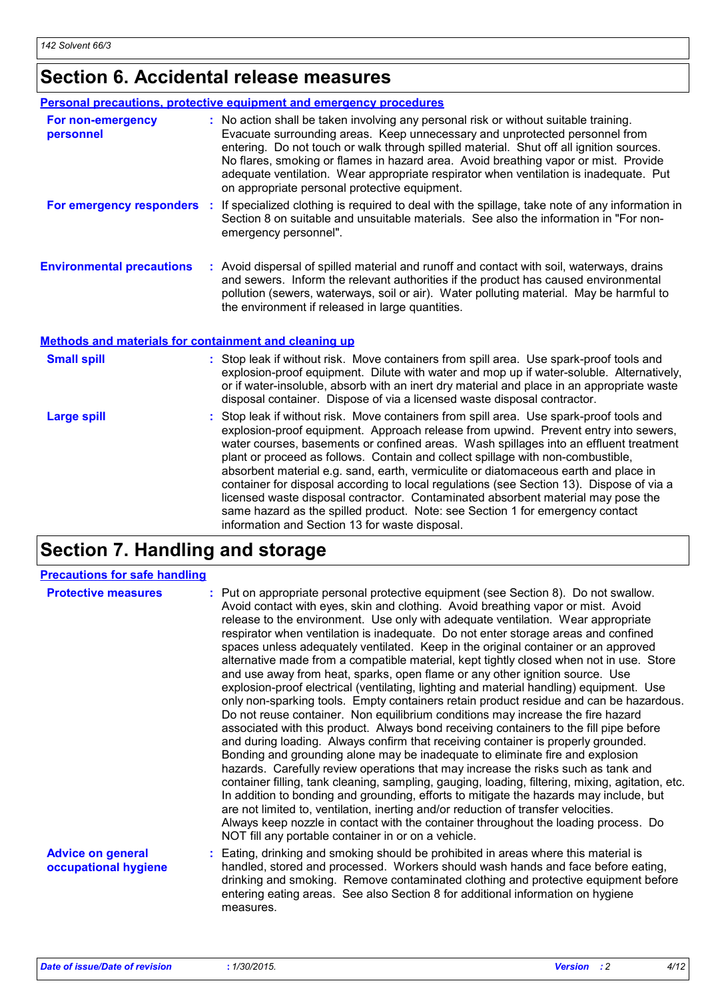# **Section 6. Accidental release measures**

| <b>Personal precautions, protective equipment and emergency procedures</b> |                                                                                                                                                                                                                                                                                                                                                                                                                                                                                                                                                                                                                                                                                                                                                                    |  |  |
|----------------------------------------------------------------------------|--------------------------------------------------------------------------------------------------------------------------------------------------------------------------------------------------------------------------------------------------------------------------------------------------------------------------------------------------------------------------------------------------------------------------------------------------------------------------------------------------------------------------------------------------------------------------------------------------------------------------------------------------------------------------------------------------------------------------------------------------------------------|--|--|
| For non-emergency<br>personnel                                             | : No action shall be taken involving any personal risk or without suitable training.<br>Evacuate surrounding areas. Keep unnecessary and unprotected personnel from<br>entering. Do not touch or walk through spilled material. Shut off all ignition sources.<br>No flares, smoking or flames in hazard area. Avoid breathing vapor or mist. Provide<br>adequate ventilation. Wear appropriate respirator when ventilation is inadequate. Put<br>on appropriate personal protective equipment.                                                                                                                                                                                                                                                                    |  |  |
| For emergency responders                                                   | If specialized clothing is required to deal with the spillage, take note of any information in<br>÷.<br>Section 8 on suitable and unsuitable materials. See also the information in "For non-<br>emergency personnel".                                                                                                                                                                                                                                                                                                                                                                                                                                                                                                                                             |  |  |
| <b>Environmental precautions</b>                                           | : Avoid dispersal of spilled material and runoff and contact with soil, waterways, drains<br>and sewers. Inform the relevant authorities if the product has caused environmental<br>pollution (sewers, waterways, soil or air). Water polluting material. May be harmful to<br>the environment if released in large quantities.                                                                                                                                                                                                                                                                                                                                                                                                                                    |  |  |
| <b>Methods and materials for containment and cleaning up</b>               |                                                                                                                                                                                                                                                                                                                                                                                                                                                                                                                                                                                                                                                                                                                                                                    |  |  |
| <b>Small spill</b>                                                         | : Stop leak if without risk. Move containers from spill area. Use spark-proof tools and<br>explosion-proof equipment. Dilute with water and mop up if water-soluble. Alternatively,<br>or if water-insoluble, absorb with an inert dry material and place in an appropriate waste<br>disposal container. Dispose of via a licensed waste disposal contractor.                                                                                                                                                                                                                                                                                                                                                                                                      |  |  |
| <b>Large spill</b>                                                         | Stop leak if without risk. Move containers from spill area. Use spark-proof tools and<br>explosion-proof equipment. Approach release from upwind. Prevent entry into sewers,<br>water courses, basements or confined areas. Wash spillages into an effluent treatment<br>plant or proceed as follows. Contain and collect spillage with non-combustible,<br>absorbent material e.g. sand, earth, vermiculite or diatomaceous earth and place in<br>container for disposal according to local regulations (see Section 13). Dispose of via a<br>licensed waste disposal contractor. Contaminated absorbent material may pose the<br>same hazard as the spilled product. Note: see Section 1 for emergency contact<br>information and Section 13 for waste disposal. |  |  |

# **Section 7. Handling and storage**

| <b>Precautions for safe handling</b>             |                                                                                                                                                                                                                                                                                                                                                                                                                                                                                                                                                                                                                                                                                                                                                                                                                                                                                                                                                                                                                                                                                                                                                                                                                                                                                                                                                                                                                                                                                                                                                                                                                                                                                   |
|--------------------------------------------------|-----------------------------------------------------------------------------------------------------------------------------------------------------------------------------------------------------------------------------------------------------------------------------------------------------------------------------------------------------------------------------------------------------------------------------------------------------------------------------------------------------------------------------------------------------------------------------------------------------------------------------------------------------------------------------------------------------------------------------------------------------------------------------------------------------------------------------------------------------------------------------------------------------------------------------------------------------------------------------------------------------------------------------------------------------------------------------------------------------------------------------------------------------------------------------------------------------------------------------------------------------------------------------------------------------------------------------------------------------------------------------------------------------------------------------------------------------------------------------------------------------------------------------------------------------------------------------------------------------------------------------------------------------------------------------------|
| <b>Protective measures</b>                       | : Put on appropriate personal protective equipment (see Section 8). Do not swallow.<br>Avoid contact with eyes, skin and clothing. Avoid breathing vapor or mist. Avoid<br>release to the environment. Use only with adequate ventilation. Wear appropriate<br>respirator when ventilation is inadequate. Do not enter storage areas and confined<br>spaces unless adequately ventilated. Keep in the original container or an approved<br>alternative made from a compatible material, kept tightly closed when not in use. Store<br>and use away from heat, sparks, open flame or any other ignition source. Use<br>explosion-proof electrical (ventilating, lighting and material handling) equipment. Use<br>only non-sparking tools. Empty containers retain product residue and can be hazardous.<br>Do not reuse container. Non equilibrium conditions may increase the fire hazard<br>associated with this product. Always bond receiving containers to the fill pipe before<br>and during loading. Always confirm that receiving container is properly grounded.<br>Bonding and grounding alone may be inadequate to eliminate fire and explosion<br>hazards. Carefully review operations that may increase the risks such as tank and<br>container filling, tank cleaning, sampling, gauging, loading, filtering, mixing, agitation, etc.<br>In addition to bonding and grounding, efforts to mitigate the hazards may include, but<br>are not limited to, ventilation, inerting and/or reduction of transfer velocities.<br>Always keep nozzle in contact with the container throughout the loading process. Do<br>NOT fill any portable container in or on a vehicle. |
| <b>Advice on general</b><br>occupational hygiene | : Eating, drinking and smoking should be prohibited in areas where this material is<br>handled, stored and processed. Workers should wash hands and face before eating,<br>drinking and smoking. Remove contaminated clothing and protective equipment before<br>entering eating areas. See also Section 8 for additional information on hygiene<br>measures.                                                                                                                                                                                                                                                                                                                                                                                                                                                                                                                                                                                                                                                                                                                                                                                                                                                                                                                                                                                                                                                                                                                                                                                                                                                                                                                     |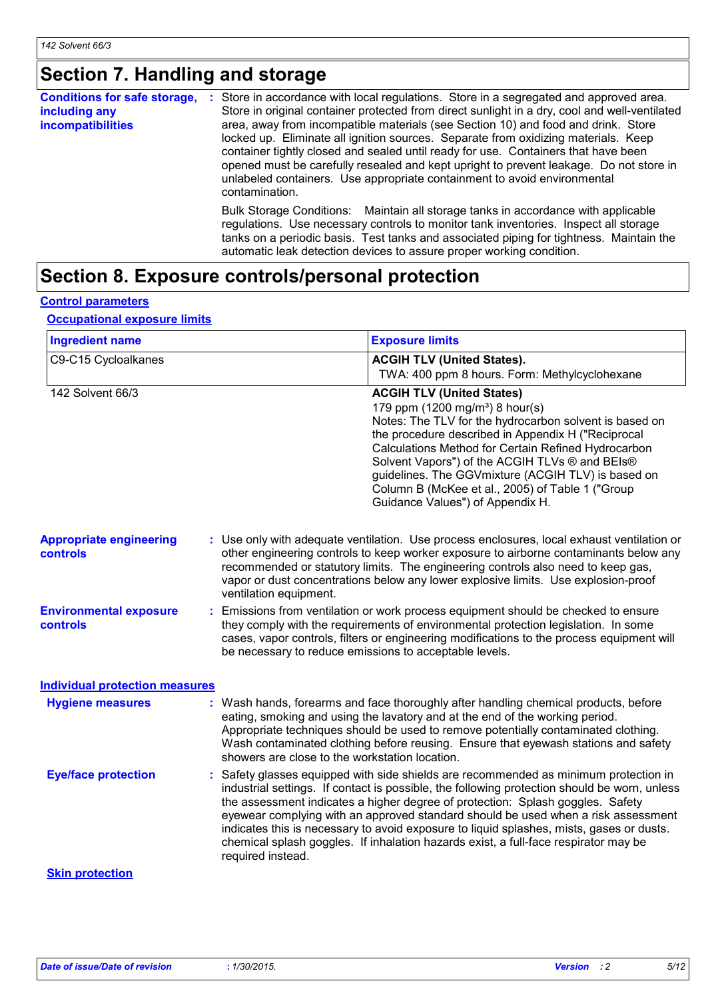# **Section 7. Handling and storage**

| <b>Conditions for safe storage,</b> | ÷. | Store in accordance with local regulations. Store in a segregated and approved area.                                                                                                                                                                                                                                                                             |
|-------------------------------------|----|------------------------------------------------------------------------------------------------------------------------------------------------------------------------------------------------------------------------------------------------------------------------------------------------------------------------------------------------------------------|
| including any                       |    | Store in original container protected from direct sunlight in a dry, cool and well-ventilated                                                                                                                                                                                                                                                                    |
| <b>incompatibilities</b>            |    | area, away from incompatible materials (see Section 10) and food and drink. Store                                                                                                                                                                                                                                                                                |
|                                     |    | locked up. Eliminate all ignition sources. Separate from oxidizing materials. Keep<br>container tightly closed and sealed until ready for use. Containers that have been<br>opened must be carefully resealed and kept upright to prevent leakage. Do not store in<br>unlabeled containers. Use appropriate containment to avoid environmental<br>contamination. |
|                                     |    | Bulk Storage Conditions: Maintain all storage tanks in accordance with applicable<br>regulations. Use necessary controls to monitor tank inventories. Inspect all storage<br>tanks on a periodic basis. Test tanks and associated piping for tightness. Maintain the<br>automatic leak detection devices to assure proper working condition.                     |

# **Section 8. Exposure controls/personal protection**

#### **Control parameters**

#### **Occupational exposure limits**

| <b>Ingredient name</b>                            |                                                                                                                                                                                                                                                                                                                                                                                         | <b>Exposure limits</b>                                                                                                                                                                                                                                                                                                                                                                                                                                                                                                                         |
|---------------------------------------------------|-----------------------------------------------------------------------------------------------------------------------------------------------------------------------------------------------------------------------------------------------------------------------------------------------------------------------------------------------------------------------------------------|------------------------------------------------------------------------------------------------------------------------------------------------------------------------------------------------------------------------------------------------------------------------------------------------------------------------------------------------------------------------------------------------------------------------------------------------------------------------------------------------------------------------------------------------|
| C9-C15 Cycloalkanes                               |                                                                                                                                                                                                                                                                                                                                                                                         | <b>ACGIH TLV (United States).</b><br>TWA: 400 ppm 8 hours. Form: Methylcyclohexane                                                                                                                                                                                                                                                                                                                                                                                                                                                             |
| 142 Solvent 66/3                                  |                                                                                                                                                                                                                                                                                                                                                                                         | <b>ACGIH TLV (United States)</b><br>179 ppm (1200 mg/m <sup>3</sup> ) 8 hour(s)<br>Notes: The TLV for the hydrocarbon solvent is based on<br>the procedure described in Appendix H ("Reciprocal<br>Calculations Method for Certain Refined Hydrocarbon<br>Solvent Vapors") of the ACGIH TLVs ® and BEIs®<br>guidelines. The GGVmixture (ACGIH TLV) is based on<br>Column B (McKee et al., 2005) of Table 1 ("Group<br>Guidance Values") of Appendix H.                                                                                         |
| <b>Appropriate engineering</b><br><b>controls</b> | : Use only with adequate ventilation. Use process enclosures, local exhaust ventilation or<br>other engineering controls to keep worker exposure to airborne contaminants below any<br>recommended or statutory limits. The engineering controls also need to keep gas,<br>vapor or dust concentrations below any lower explosive limits. Use explosion-proof<br>ventilation equipment. |                                                                                                                                                                                                                                                                                                                                                                                                                                                                                                                                                |
| <b>Environmental exposure</b><br>controls         | : Emissions from ventilation or work process equipment should be checked to ensure<br>they comply with the requirements of environmental protection legislation. In some<br>cases, vapor controls, filters or engineering modifications to the process equipment will<br>be necessary to reduce emissions to acceptable levels.                                                         |                                                                                                                                                                                                                                                                                                                                                                                                                                                                                                                                                |
| <b>Individual protection measures</b>             |                                                                                                                                                                                                                                                                                                                                                                                         |                                                                                                                                                                                                                                                                                                                                                                                                                                                                                                                                                |
| <b>Hygiene measures</b>                           | showers are close to the workstation location.                                                                                                                                                                                                                                                                                                                                          | : Wash hands, forearms and face thoroughly after handling chemical products, before<br>eating, smoking and using the lavatory and at the end of the working period.<br>Appropriate techniques should be used to remove potentially contaminated clothing.<br>Wash contaminated clothing before reusing. Ensure that eyewash stations and safety                                                                                                                                                                                                |
| <b>Eye/face protection</b>                        | required instead.                                                                                                                                                                                                                                                                                                                                                                       | : Safety glasses equipped with side shields are recommended as minimum protection in<br>industrial settings. If contact is possible, the following protection should be worn, unless<br>the assessment indicates a higher degree of protection: Splash goggles. Safety<br>eyewear complying with an approved standard should be used when a risk assessment<br>indicates this is necessary to avoid exposure to liquid splashes, mists, gases or dusts.<br>chemical splash goggles. If inhalation hazards exist, a full-face respirator may be |
| <b>Skin protection</b>                            |                                                                                                                                                                                                                                                                                                                                                                                         |                                                                                                                                                                                                                                                                                                                                                                                                                                                                                                                                                |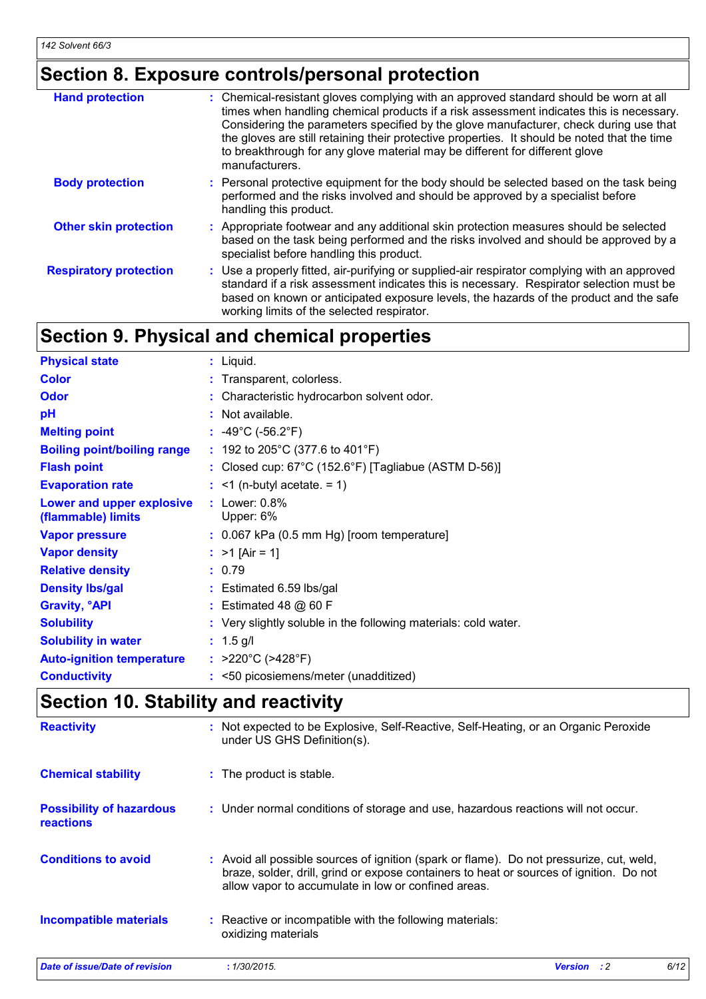# **Section 8. Exposure controls/personal protection**

| <b>Hand protection</b>        | : Chemical-resistant gloves complying with an approved standard should be worn at all<br>times when handling chemical products if a risk assessment indicates this is necessary.<br>Considering the parameters specified by the glove manufacturer, check during use that<br>the gloves are still retaining their protective properties. It should be noted that the time<br>to breakthrough for any glove material may be different for different glove<br>manufacturers. |
|-------------------------------|----------------------------------------------------------------------------------------------------------------------------------------------------------------------------------------------------------------------------------------------------------------------------------------------------------------------------------------------------------------------------------------------------------------------------------------------------------------------------|
| <b>Body protection</b>        | : Personal protective equipment for the body should be selected based on the task being<br>performed and the risks involved and should be approved by a specialist before<br>handling this product.                                                                                                                                                                                                                                                                        |
| <b>Other skin protection</b>  | : Appropriate footwear and any additional skin protection measures should be selected<br>based on the task being performed and the risks involved and should be approved by a<br>specialist before handling this product.                                                                                                                                                                                                                                                  |
| <b>Respiratory protection</b> | : Use a properly fitted, air-purifying or supplied-air respirator complying with an approved<br>standard if a risk assessment indicates this is necessary. Respirator selection must be<br>based on known or anticipated exposure levels, the hazards of the product and the safe<br>working limits of the selected respirator.                                                                                                                                            |

# **Section 9. Physical and chemical properties**

| <b>Physical state</b>                           | $:$ Liquid.                                                     |
|-------------------------------------------------|-----------------------------------------------------------------|
| <b>Color</b>                                    | : Transparent, colorless.                                       |
| <b>Odor</b>                                     | : Characteristic hydrocarbon solvent odor.                      |
| pH                                              | : Not available.                                                |
| <b>Melting point</b>                            | : $-49^{\circ}$ C ( $-56.2^{\circ}$ F)                          |
| <b>Boiling point/boiling range</b>              | : 192 to 205°C (377.6 to 401°F)                                 |
| <b>Flash point</b>                              | : Closed cup: $67^{\circ}$ C (152.6°F) [Tagliabue (ASTM D-56)]  |
| <b>Evaporation rate</b>                         | $:$ <1 (n-butyl acetate. = 1)                                   |
| Lower and upper explosive<br>(flammable) limits | $:$ Lower: $0.8\%$<br>Upper: 6%                                 |
| <b>Vapor pressure</b>                           | $: 0.067$ kPa (0.5 mm Hg) [room temperature]                    |
| <b>Vapor density</b>                            | : $>1$ [Air = 1]                                                |
| <b>Relative density</b>                         | : 0.79                                                          |
| <b>Density Ibs/gal</b>                          | : Estimated 6.59 lbs/gal                                        |
| <b>Gravity, <sup>o</sup>API</b>                 | $:$ Estimated 48 $@$ 60 F                                       |
| <b>Solubility</b>                               | : Very slightly soluble in the following materials: cold water. |
| <b>Solubility in water</b>                      | $: 1.5$ g/l                                                     |
| <b>Auto-ignition temperature</b>                | : $>220^{\circ}$ C ( $>428^{\circ}$ F)                          |
| <b>Conductivity</b>                             | $\approx$ <50 picosiemens/meter (unadditized)                   |

# **Section 10. Stability and reactivity**

| <b>Reactivity</b>                            | : Not expected to be Explosive, Self-Reactive, Self-Heating, or an Organic Peroxide<br>under US GHS Definition(s).                                                                                                                         |                    |      |
|----------------------------------------------|--------------------------------------------------------------------------------------------------------------------------------------------------------------------------------------------------------------------------------------------|--------------------|------|
| <b>Chemical stability</b>                    | : The product is stable.                                                                                                                                                                                                                   |                    |      |
| <b>Possibility of hazardous</b><br>reactions | : Under normal conditions of storage and use, hazardous reactions will not occur.                                                                                                                                                          |                    |      |
| <b>Conditions to avoid</b>                   | : Avoid all possible sources of ignition (spark or flame). Do not pressurize, cut, weld,<br>braze, solder, drill, grind or expose containers to heat or sources of ignition. Do not<br>allow vapor to accumulate in low or confined areas. |                    |      |
| <b>Incompatible materials</b>                | : Reactive or incompatible with the following materials:<br>oxidizing materials                                                                                                                                                            |                    |      |
| Date of issue/Date of revision               | : 1/30/2015.                                                                                                                                                                                                                               | <b>Version</b> : 2 | 6/12 |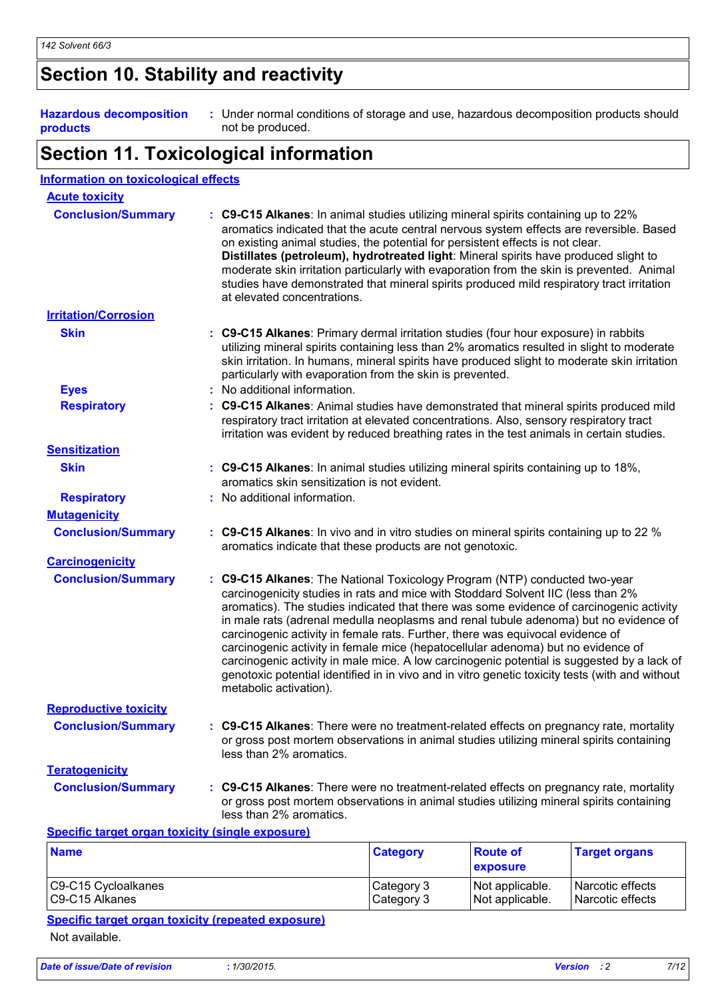# **Section 10. Stability and reactivity**

| <b>Hazardous decomposition</b><br>products              | : Under normal conditions of storage and use, hazardous decomposition products should<br>not be produced.                                                                                                                                                                                                                                                                                                                                                                                                                                                                                                                                                                                                                                          |
|---------------------------------------------------------|----------------------------------------------------------------------------------------------------------------------------------------------------------------------------------------------------------------------------------------------------------------------------------------------------------------------------------------------------------------------------------------------------------------------------------------------------------------------------------------------------------------------------------------------------------------------------------------------------------------------------------------------------------------------------------------------------------------------------------------------------|
|                                                         | <b>Section 11. Toxicological information</b>                                                                                                                                                                                                                                                                                                                                                                                                                                                                                                                                                                                                                                                                                                       |
| <b>Information on toxicological effects</b>             |                                                                                                                                                                                                                                                                                                                                                                                                                                                                                                                                                                                                                                                                                                                                                    |
| <b>Acute toxicity</b>                                   |                                                                                                                                                                                                                                                                                                                                                                                                                                                                                                                                                                                                                                                                                                                                                    |
| <b>Conclusion/Summary</b>                               | : C9-C15 Alkanes: In animal studies utilizing mineral spirits containing up to 22%<br>aromatics indicated that the acute central nervous system effects are reversible. Based<br>on existing animal studies, the potential for persistent effects is not clear.<br>Distillates (petroleum), hydrotreated light: Mineral spirits have produced slight to<br>moderate skin irritation particularly with evaporation from the skin is prevented. Animal<br>studies have demonstrated that mineral spirits produced mild respiratory tract irritation<br>at elevated concentrations.                                                                                                                                                                   |
| <b>Irritation/Corrosion</b>                             |                                                                                                                                                                                                                                                                                                                                                                                                                                                                                                                                                                                                                                                                                                                                                    |
| <b>Skin</b>                                             | : C9-C15 Alkanes: Primary dermal irritation studies (four hour exposure) in rabbits<br>utilizing mineral spirits containing less than 2% aromatics resulted in slight to moderate<br>skin irritation. In humans, mineral spirits have produced slight to moderate skin irritation<br>particularly with evaporation from the skin is prevented.<br>: No additional information.                                                                                                                                                                                                                                                                                                                                                                     |
| <b>Eyes</b>                                             |                                                                                                                                                                                                                                                                                                                                                                                                                                                                                                                                                                                                                                                                                                                                                    |
| <b>Respiratory</b>                                      | : C9-C15 Alkanes: Animal studies have demonstrated that mineral spirits produced mild<br>respiratory tract irritation at elevated concentrations. Also, sensory respiratory tract<br>irritation was evident by reduced breathing rates in the test animals in certain studies.                                                                                                                                                                                                                                                                                                                                                                                                                                                                     |
| <b>Sensitization</b>                                    |                                                                                                                                                                                                                                                                                                                                                                                                                                                                                                                                                                                                                                                                                                                                                    |
| <b>Skin</b>                                             | : C9-C15 Alkanes: In animal studies utilizing mineral spirits containing up to 18%,<br>aromatics skin sensitization is not evident.                                                                                                                                                                                                                                                                                                                                                                                                                                                                                                                                                                                                                |
| <b>Respiratory</b>                                      | : No additional information.                                                                                                                                                                                                                                                                                                                                                                                                                                                                                                                                                                                                                                                                                                                       |
| <b>Mutagenicity</b>                                     |                                                                                                                                                                                                                                                                                                                                                                                                                                                                                                                                                                                                                                                                                                                                                    |
| <b>Conclusion/Summary</b>                               | : C9-C15 Alkanes: In vivo and in vitro studies on mineral spirits containing up to 22 %<br>aromatics indicate that these products are not genotoxic.                                                                                                                                                                                                                                                                                                                                                                                                                                                                                                                                                                                               |
| <b>Carcinogenicity</b>                                  |                                                                                                                                                                                                                                                                                                                                                                                                                                                                                                                                                                                                                                                                                                                                                    |
| <b>Conclusion/Summary</b>                               | : C9-C15 Alkanes: The National Toxicology Program (NTP) conducted two-year<br>carcinogenicity studies in rats and mice with Stoddard Solvent IIC (less than 2%<br>aromatics). The studies indicated that there was some evidence of carcinogenic activity<br>in male rats (adrenal medulla neoplasms and renal tubule adenoma) but no evidence of<br>carcinogenic activity in female rats. Further, there was equivocal evidence of<br>carcinogenic activity in female mice (hepatocellular adenoma) but no evidence of<br>carcinogenic activity in male mice. A low carcinogenic potential is suggested by a lack of<br>genotoxic potential identified in in vivo and in vitro genetic toxicity tests (with and without<br>metabolic activation). |
| <b>Reproductive toxicity</b>                            |                                                                                                                                                                                                                                                                                                                                                                                                                                                                                                                                                                                                                                                                                                                                                    |
| <b>Conclusion/Summary</b>                               | : C9-C15 Alkanes: There were no treatment-related effects on pregnancy rate, mortality<br>or gross post mortem observations in animal studies utilizing mineral spirits containing<br>less than 2% aromatics.                                                                                                                                                                                                                                                                                                                                                                                                                                                                                                                                      |
| <b>Teratogenicity</b>                                   |                                                                                                                                                                                                                                                                                                                                                                                                                                                                                                                                                                                                                                                                                                                                                    |
| <b>Conclusion/Summary</b>                               | : C9-C15 Alkanes: There were no treatment-related effects on pregnancy rate, mortality<br>or gross post mortem observations in animal studies utilizing mineral spirits containing<br>less than 2% aromatics.                                                                                                                                                                                                                                                                                                                                                                                                                                                                                                                                      |
| <b>Specific target organ toxicity (single exposure)</b> |                                                                                                                                                                                                                                                                                                                                                                                                                                                                                                                                                                                                                                                                                                                                                    |
|                                                         |                                                                                                                                                                                                                                                                                                                                                                                                                                                                                                                                                                                                                                                                                                                                                    |

| <b>Name</b>         | <b>Category</b> | <b>Route of</b><br><b>exposure</b> | <b>Target organs</b>    |
|---------------------|-----------------|------------------------------------|-------------------------|
| C9-C15 Cycloalkanes | Category 3      | Not applicable.                    | <b>Narcotic effects</b> |
| C9-C15 Alkanes      | Category 3      | Not applicable.                    | <b>Narcotic effects</b> |

## **Specific target organ toxicity (repeated exposure)** Not available.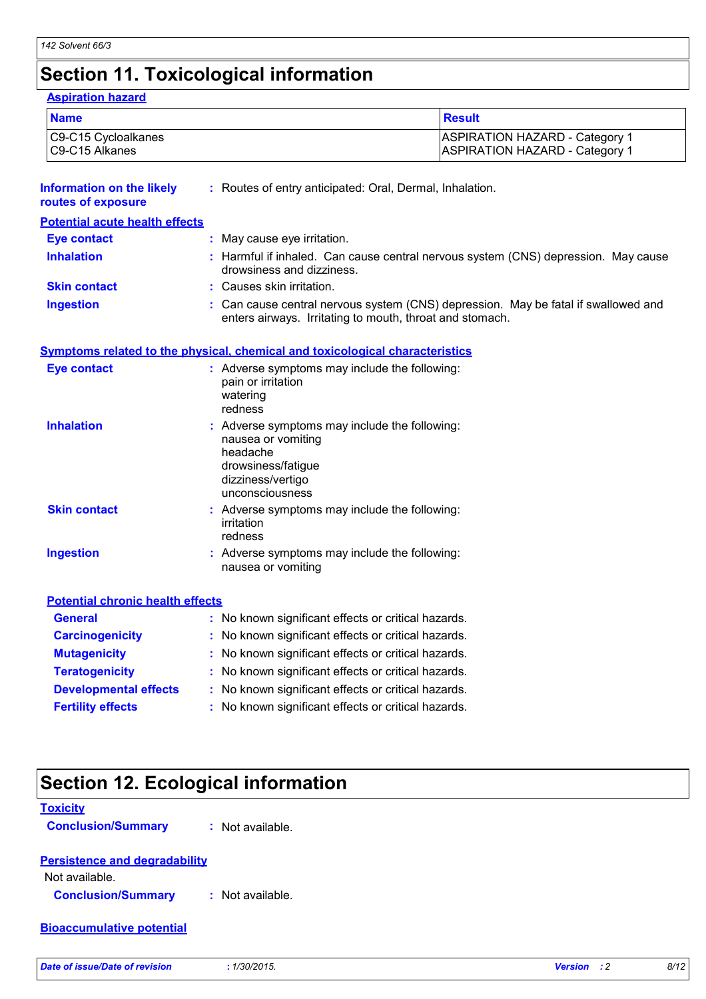# **Section 11. Toxicological information**

| <b>Name</b>                                            |                                                                                                                                               | <b>Result</b>                                                                                                                                |  |  |
|--------------------------------------------------------|-----------------------------------------------------------------------------------------------------------------------------------------------|----------------------------------------------------------------------------------------------------------------------------------------------|--|--|
| C9-C15 Cycloalkanes<br>C9-C15 Alkanes                  |                                                                                                                                               | <b>ASPIRATION HAZARD - Category 1</b><br><b>ASPIRATION HAZARD - Category 1</b>                                                               |  |  |
| <b>Information on the likely</b><br>routes of exposure | : Routes of entry anticipated: Oral, Dermal, Inhalation.                                                                                      |                                                                                                                                              |  |  |
| <b>Potential acute health effects</b>                  |                                                                                                                                               |                                                                                                                                              |  |  |
| <b>Eye contact</b>                                     | : May cause eye irritation.                                                                                                                   |                                                                                                                                              |  |  |
| <b>Inhalation</b>                                      | drowsiness and dizziness.                                                                                                                     | : Harmful if inhaled. Can cause central nervous system (CNS) depression. May cause                                                           |  |  |
| <b>Skin contact</b>                                    | Causes skin irritation.                                                                                                                       |                                                                                                                                              |  |  |
| <b>Ingestion</b>                                       |                                                                                                                                               | Can cause central nervous system (CNS) depression. May be fatal if swallowed and<br>enters airways. Irritating to mouth, throat and stomach. |  |  |
|                                                        | <b>Symptoms related to the physical, chemical and toxicological characteristics</b>                                                           |                                                                                                                                              |  |  |
| <b>Eye contact</b>                                     | : Adverse symptoms may include the following:<br>pain or irritation<br>watering<br>redness                                                    |                                                                                                                                              |  |  |
| <b>Inhalation</b>                                      | : Adverse symptoms may include the following:<br>nausea or vomiting<br>headache<br>drowsiness/fatigue<br>dizziness/vertigo<br>unconsciousness |                                                                                                                                              |  |  |
| <b>Skin contact</b>                                    | : Adverse symptoms may include the following:<br>irritation<br>redness                                                                        |                                                                                                                                              |  |  |
| <b>Ingestion</b>                                       | : Adverse symptoms may include the following:<br>nausea or vomiting                                                                           |                                                                                                                                              |  |  |
| <b>Potential chronic health effects</b>                |                                                                                                                                               |                                                                                                                                              |  |  |
| <b>General</b>                                         | : No known significant effects or critical hazards.                                                                                           |                                                                                                                                              |  |  |
| <b>Carcinogenicity</b>                                 | : No known significant effects or critical hazards.                                                                                           |                                                                                                                                              |  |  |
| <b>Mutagenicity</b>                                    | No known significant effects or critical hazards.                                                                                             |                                                                                                                                              |  |  |
|                                                        | No known significant effects or critical hazards.                                                                                             |                                                                                                                                              |  |  |
| <b>Teratogenicity</b>                                  | No known significant effects or critical hazards.                                                                                             |                                                                                                                                              |  |  |
| <b>Developmental effects</b>                           |                                                                                                                                               |                                                                                                                                              |  |  |

# **Section 12. Ecological information**

| <b>Toxicity</b>                      |                  |                               |      |
|--------------------------------------|------------------|-------------------------------|------|
| <b>Conclusion/Summary</b>            | : Not available. |                               |      |
| <b>Persistence and degradability</b> |                  |                               |      |
| Not available.                       |                  |                               |      |
| <b>Conclusion/Summary</b>            | : Not available. |                               |      |
| <b>Bioaccumulative potential</b>     |                  |                               |      |
| Date of issue/Date of revision       | : 1/30/2015.     | <b>Version</b><br>$\cdot$ : 2 | 8/12 |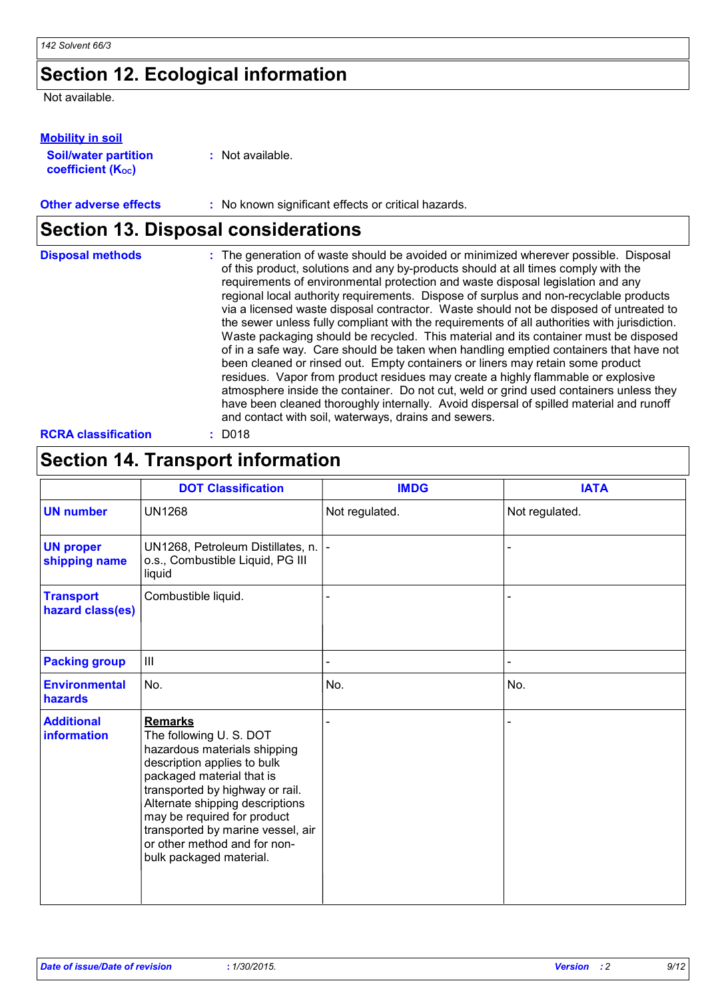# **Section 12. Ecological information**

Not available.

## **Mobility in soil**

| <b>Soil/water partition</b> | : Not available. |
|-----------------------------|------------------|
| <b>coefficient (Koc)</b>    |                  |

### **Other adverse effects** : No known significant effects or critical hazards.

## **Section 13. Disposal considerations**

| <b>Disposal methods</b>    | : The generation of waste should be avoided or minimized wherever possible. Disposal<br>of this product, solutions and any by-products should at all times comply with the<br>requirements of environmental protection and waste disposal legislation and any<br>regional local authority requirements. Dispose of surplus and non-recyclable products<br>via a licensed waste disposal contractor. Waste should not be disposed of untreated to<br>the sewer unless fully compliant with the requirements of all authorities with jurisdiction.<br>Waste packaging should be recycled. This material and its container must be disposed<br>of in a safe way. Care should be taken when handling emptied containers that have not<br>been cleaned or rinsed out. Empty containers or liners may retain some product<br>residues. Vapor from product residues may create a highly flammable or explosive<br>atmosphere inside the container. Do not cut, weld or grind used containers unless they<br>have been cleaned thoroughly internally. Avoid dispersal of spilled material and runoff<br>and contact with soil, waterways, drains and sewers. |
|----------------------------|------------------------------------------------------------------------------------------------------------------------------------------------------------------------------------------------------------------------------------------------------------------------------------------------------------------------------------------------------------------------------------------------------------------------------------------------------------------------------------------------------------------------------------------------------------------------------------------------------------------------------------------------------------------------------------------------------------------------------------------------------------------------------------------------------------------------------------------------------------------------------------------------------------------------------------------------------------------------------------------------------------------------------------------------------------------------------------------------------------------------------------------------------|
| <b>RCRA classification</b> | $:$ D018                                                                                                                                                                                                                                                                                                                                                                                                                                                                                                                                                                                                                                                                                                                                                                                                                                                                                                                                                                                                                                                                                                                                             |

# **Section 14. Transport information**

|                                      | <b>DOT Classification</b>                                                                                                                                                                                                                                                                                                                 | <b>IMDG</b>    | <b>IATA</b>              |
|--------------------------------------|-------------------------------------------------------------------------------------------------------------------------------------------------------------------------------------------------------------------------------------------------------------------------------------------------------------------------------------------|----------------|--------------------------|
| <b>UN number</b>                     | <b>UN1268</b>                                                                                                                                                                                                                                                                                                                             | Not regulated. | Not regulated.           |
| <b>UN proper</b><br>shipping name    | UN1268, Petroleum Distillates, n.  -<br>o.s., Combustible Liquid, PG III<br>liquid                                                                                                                                                                                                                                                        |                |                          |
| <b>Transport</b><br>hazard class(es) | Combustible liquid.                                                                                                                                                                                                                                                                                                                       |                |                          |
| <b>Packing group</b>                 | $\mathbf{III}$                                                                                                                                                                                                                                                                                                                            |                | $\overline{\phantom{0}}$ |
| <b>Environmental</b><br>hazards      | No.                                                                                                                                                                                                                                                                                                                                       | No.            | No.                      |
| <b>Additional</b><br>information     | <b>Remarks</b><br>The following U.S. DOT<br>hazardous materials shipping<br>description applies to bulk<br>packaged material that is<br>transported by highway or rail.<br>Alternate shipping descriptions<br>may be required for product<br>transported by marine vessel, air<br>or other method and for non-<br>bulk packaged material. |                |                          |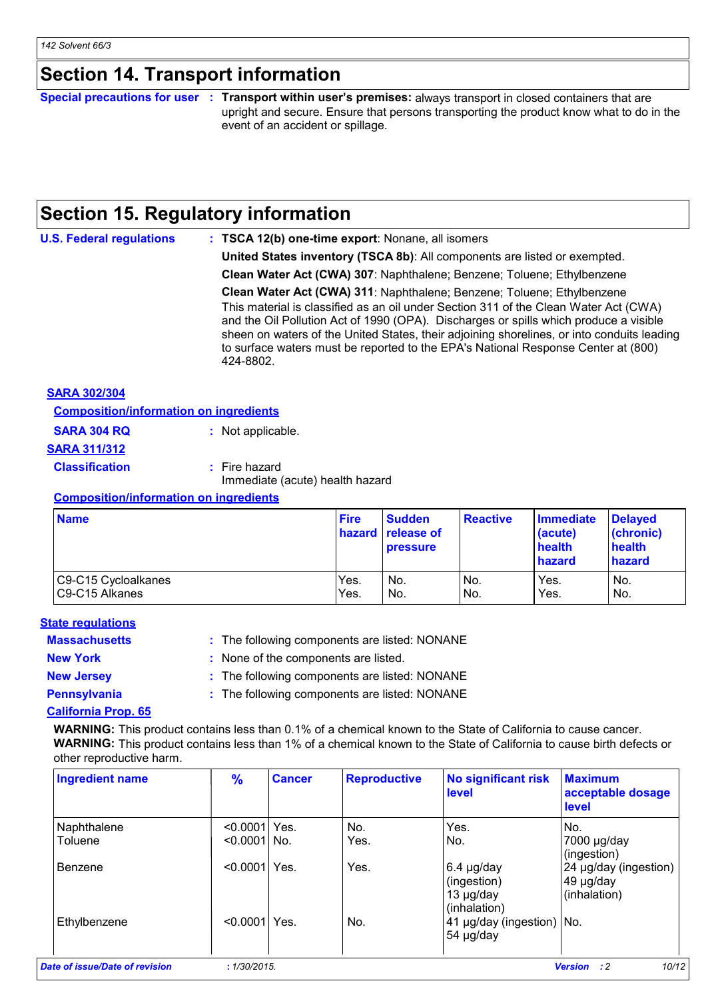## **Section 14. Transport information**

#### **Special precautions for user Transport within user's premises:** always transport in closed containers that are **:** upright and secure. Ensure that persons transporting the product know what to do in the event of an accident or spillage.

# **Section 15. Regulatory information**

| <b>U.S. Federal regulations</b> | : TSCA 12(b) one-time export: Nonane, all isomers                                                                                                                                                                                                                                                                                                                                                                                                       |
|---------------------------------|---------------------------------------------------------------------------------------------------------------------------------------------------------------------------------------------------------------------------------------------------------------------------------------------------------------------------------------------------------------------------------------------------------------------------------------------------------|
|                                 | United States inventory (TSCA 8b): All components are listed or exempted.                                                                                                                                                                                                                                                                                                                                                                               |
|                                 | Clean Water Act (CWA) 307: Naphthalene; Benzene; Toluene; Ethylbenzene                                                                                                                                                                                                                                                                                                                                                                                  |
|                                 | Clean Water Act (CWA) 311: Naphthalene; Benzene; Toluene; Ethylbenzene<br>This material is classified as an oil under Section 311 of the Clean Water Act (CWA)<br>and the Oil Pollution Act of 1990 (OPA). Discharges or spills which produce a visible<br>sheen on waters of the United States, their adjoining shorelines, or into conduits leading<br>to surface waters must be reported to the EPA's National Response Center at (800)<br>424-8802. |
| <b>SARA 302/304</b>             |                                                                                                                                                                                                                                                                                                                                                                                                                                                         |

**Composition/information on ingredients**

| <b>SARA 304 RQ</b>    | : Not applicable.                                  |
|-----------------------|----------------------------------------------------|
| <u>SARA 311/312</u>   |                                                    |
| <b>Classification</b> | $:$ Fire hazard<br>Immediate (acute) health hazard |

#### **Composition/information on ingredients**

| <b>Name</b>         | <b>Fire</b> | <b>Sudden</b><br><b>hazard</b> release of<br><b>pressure</b> | <b>Reactive</b> | <b>Immediate</b><br>(acute)<br>health<br>hazard | <b>Delaved</b><br>(chronic)<br>health<br>hazard |
|---------------------|-------------|--------------------------------------------------------------|-----------------|-------------------------------------------------|-------------------------------------------------|
| C9-C15 Cycloalkanes | Yes.        | No.                                                          | IN <sub>o</sub> | Yes.                                            | No.                                             |
| C9-C15 Alkanes      | Yes.        | No.                                                          | IN <sub>o</sub> | Yes.                                            | No.                                             |

## **State regulations**

| <b>Massachusetts</b>          | : The following components are listed: NONANE |
|-------------------------------|-----------------------------------------------|
| <b>New York</b>               | : None of the components are listed.          |
| <b>New Jersey</b>             | : The following components are listed: NONANE |
| <b>Pennsylvania</b>           | : The following components are listed: NONANE |
| <b>Outflowers</b> Business OF |                                               |

## **California Prop. 65**

**WARNING:** This product contains less than 0.1% of a chemical known to the State of California to cause cancer. **WARNING:** This product contains less than 1% of a chemical known to the State of California to cause birth defects or other reproductive harm.

| <b>Ingredient name</b>         | $\frac{9}{6}$   | <b>Cancer</b> | <b>Reproductive</b> | <b>No significant risk</b><br>level                      | <b>Maximum</b><br>acceptable dosage<br>level       |
|--------------------------------|-----------------|---------------|---------------------|----------------------------------------------------------|----------------------------------------------------|
| Naphthalene                    | $< 0.0001$ Yes. |               | No.                 | Yes.                                                     | No.                                                |
| Toluene                        | $< 0.00011$ No. |               | Yes.                | No.                                                      | 7000 µg/day<br>(ingestion)                         |
| Benzene                        | < 0.0001        | Yes.          | Yes.                | $6.4$ µg/day<br>(ingestion)<br>13 µg/day<br>(inhalation) | 24 µg/day (ingestion)<br>49 µg/day<br>(inhalation) |
| Ethylbenzene                   | < 0.00011       | Yes.          | No.                 | 41 µg/day (ingestion)   No.<br>54 µg/day                 |                                                    |
| Date of issue/Date of revision | : 1/30/2015.    |               |                     |                                                          | 10/12<br>$\cdot$ : 2<br><b>Version</b>             |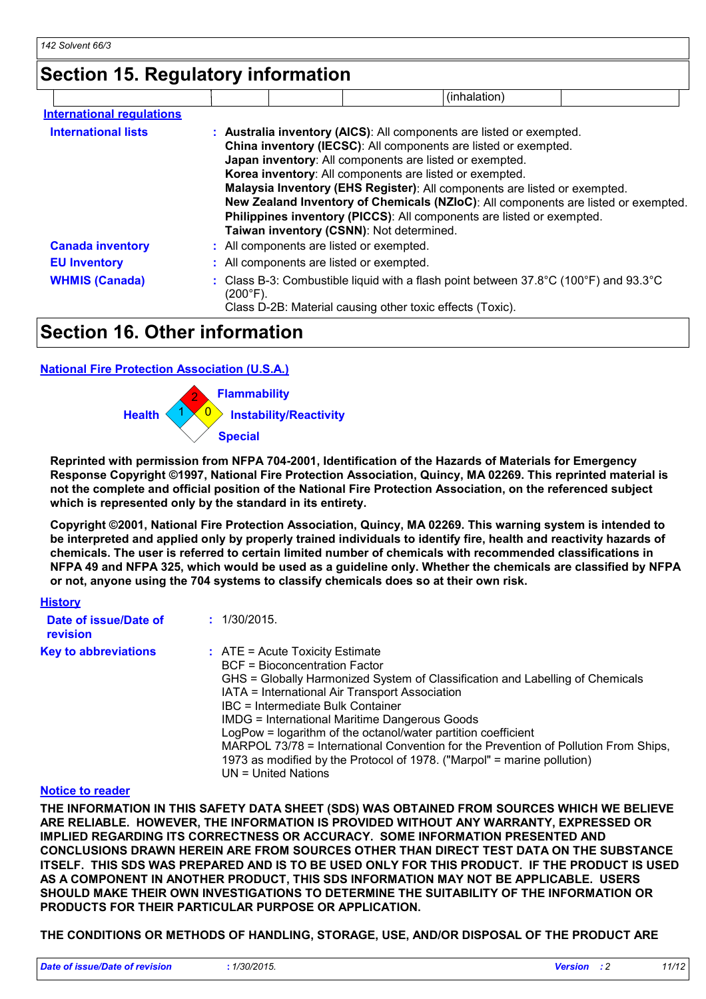## **Section 15. Regulatory information**

|                                  |                                          | (inhalation)                                                                                                                                                                                                                                                                                                                                                                                                                                                                                              |  |
|----------------------------------|------------------------------------------|-----------------------------------------------------------------------------------------------------------------------------------------------------------------------------------------------------------------------------------------------------------------------------------------------------------------------------------------------------------------------------------------------------------------------------------------------------------------------------------------------------------|--|
| <b>International requlations</b> |                                          |                                                                                                                                                                                                                                                                                                                                                                                                                                                                                                           |  |
| <b>International lists</b>       | Taiwan inventory (CSNN): Not determined. | : Australia inventory (AICS): All components are listed or exempted.<br>China inventory (IECSC): All components are listed or exempted.<br>Japan inventory: All components are listed or exempted.<br>Korea inventory: All components are listed or exempted.<br>Malaysia Inventory (EHS Register): All components are listed or exempted.<br>New Zealand Inventory of Chemicals (NZIoC): All components are listed or exempted.<br>Philippines inventory (PICCS): All components are listed or exempted. |  |
| <b>Canada inventory</b>          | : All components are listed or exempted. |                                                                                                                                                                                                                                                                                                                                                                                                                                                                                                           |  |
| <b>EU Inventory</b>              | : All components are listed or exempted. |                                                                                                                                                                                                                                                                                                                                                                                                                                                                                                           |  |
| <b>WHMIS (Canada)</b>            | (200°F).                                 | : Class B-3: Combustible liquid with a flash point between $37.8^{\circ}$ C (100 $^{\circ}$ F) and $93.3^{\circ}$ C<br>Class D-2B: Material causing other toxic effects (Toxic).                                                                                                                                                                                                                                                                                                                          |  |

## **Section 16. Other information**

## **National Fire Protection Association (U.S.A.)**



**Reprinted with permission from NFPA 704-2001, Identification of the Hazards of Materials for Emergency Response Copyright ©1997, National Fire Protection Association, Quincy, MA 02269. This reprinted material is not the complete and official position of the National Fire Protection Association, on the referenced subject which is represented only by the standard in its entirety.**

**Copyright ©2001, National Fire Protection Association, Quincy, MA 02269. This warning system is intended to be interpreted and applied only by properly trained individuals to identify fire, health and reactivity hazards of chemicals. The user is referred to certain limited number of chemicals with recommended classifications in NFPA 49 and NFPA 325, which would be used as a guideline only. Whether the chemicals are classified by NFPA or not, anyone using the 704 systems to classify chemicals does so at their own risk.**

| <b>History</b>                    |                                                                                                                                                                                                                                                                                                                                                                                                                                                                                                                                                                         |
|-----------------------------------|-------------------------------------------------------------------------------------------------------------------------------------------------------------------------------------------------------------------------------------------------------------------------------------------------------------------------------------------------------------------------------------------------------------------------------------------------------------------------------------------------------------------------------------------------------------------------|
| Date of issue/Date of<br>revision | : 1/30/2015.                                                                                                                                                                                                                                                                                                                                                                                                                                                                                                                                                            |
| <b>Key to abbreviations</b>       | $\therefore$ ATE = Acute Toxicity Estimate<br>BCF = Bioconcentration Factor<br>GHS = Globally Harmonized System of Classification and Labelling of Chemicals<br>IATA = International Air Transport Association<br>IBC = Intermediate Bulk Container<br><b>IMDG = International Maritime Dangerous Goods</b><br>LogPow = logarithm of the octanol/water partition coefficient<br>MARPOL 73/78 = International Convention for the Prevention of Pollution From Ships,<br>1973 as modified by the Protocol of 1978. ("Marpol" = marine pollution)<br>$UN = United Nations$ |

#### **Notice to reader**

**THE INFORMATION IN THIS SAFETY DATA SHEET (SDS) WAS OBTAINED FROM SOURCES WHICH WE BELIEVE ARE RELIABLE. HOWEVER, THE INFORMATION IS PROVIDED WITHOUT ANY WARRANTY, EXPRESSED OR IMPLIED REGARDING ITS CORRECTNESS OR ACCURACY. SOME INFORMATION PRESENTED AND CONCLUSIONS DRAWN HEREIN ARE FROM SOURCES OTHER THAN DIRECT TEST DATA ON THE SUBSTANCE ITSELF. THIS SDS WAS PREPARED AND IS TO BE USED ONLY FOR THIS PRODUCT. IF THE PRODUCT IS USED AS A COMPONENT IN ANOTHER PRODUCT, THIS SDS INFORMATION MAY NOT BE APPLICABLE. USERS SHOULD MAKE THEIR OWN INVESTIGATIONS TO DETERMINE THE SUITABILITY OF THE INFORMATION OR PRODUCTS FOR THEIR PARTICULAR PURPOSE OR APPLICATION.**

#### **THE CONDITIONS OR METHODS OF HANDLING, STORAGE, USE, AND/OR DISPOSAL OF THE PRODUCT ARE**